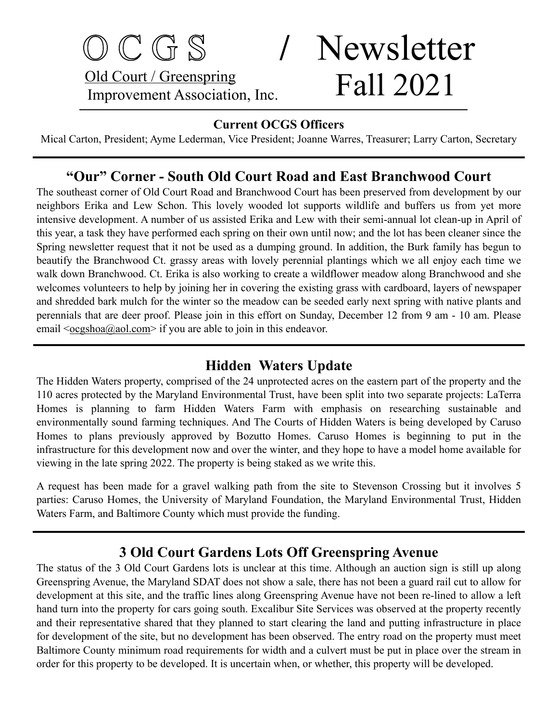## O C G S **/** Newsletter Old Court / Greenspring Old Court / Greenspring<br>Improvement Association, Inc. Fall 2021

#### **Current OCGS Officers**

Mical Carton, President; Ayme Lederman, Vice President; Joanne Warres, Treasurer; Larry Carton, Secretary

#### **"Our" Corner - South Old Court Road and East Branchwood Court**

The southeast corner of Old Court Road and Branchwood Court has been preserved from development by our neighbors Erika and Lew Schon. This lovely wooded lot supports wildlife and buffers us from yet more intensive development. A number of us assisted Erika and Lew with their semi-annual lot clean-up in April of this year, a task they have performed each spring on their own until now; and the lot has been cleaner since the Spring newsletter request that it not be used as a dumping ground. In addition, the Burk family has begun to beautify the Branchwood Ct. grassy areas with lovely perennial plantings which we all enjoy each time we walk down Branchwood. Ct. Erika is also working to create a wildflower meadow along Branchwood and she welcomes volunteers to help by joining her in covering the existing grass with cardboard, layers of newspaper and shredded bark mulch for the winter so the meadow can be seeded early next spring with native plants and perennials that are deer proof. Please join in this effort on Sunday, December 12 from 9 am - 10 am. Please email  $\leq \frac{\log \text{a}(\partial \text{a}(\alpha) - \text{b})}{\log \text{b}}$  if you are able to join in this endeavor.

#### **Hidden Waters Update**

The Hidden Waters property, comprised of the 24 unprotected acres on the eastern part of the property and the 110 acres protected by the Maryland Environmental Trust, have been split into two separate projects: LaTerra Homes is planning to farm Hidden Waters Farm with emphasis on researching sustainable and environmentally sound farming techniques. And The Courts of Hidden Waters is being developed by Caruso Homes to plans previously approved by Bozutto Homes. Caruso Homes is beginning to put in the infrastructure for this development now and over the winter, and they hope to have a model home available for viewing in the late spring 2022. The property is being staked as we write this.

A request has been made for a gravel walking path from the site to Stevenson Crossing but it involves 5 parties: Caruso Homes, the University of Maryland Foundation, the Maryland Environmental Trust, Hidden Waters Farm, and Baltimore County which must provide the funding.

#### **3 Old Court Gardens Lots Off Greenspring Avenue**

The status of the 3 Old Court Gardens lots is unclear at this time. Although an auction sign is still up along Greenspring Avenue, the Maryland SDAT does not show a sale, there has not been a guard rail cut to allow for development at this site, and the traffic lines along Greenspring Avenue have not been re-lined to allow a left hand turn into the property for cars going south. Excalibur Site Services was observed at the property recently and their representative shared that they planned to start clearing the land and putting infrastructure in place for development of the site, but no development has been observed. The entry road on the property must meet Baltimore County minimum road requirements for width and a culvert must be put in place over the stream in order for this property to be developed. It is uncertain when, or whether, this property will be developed.